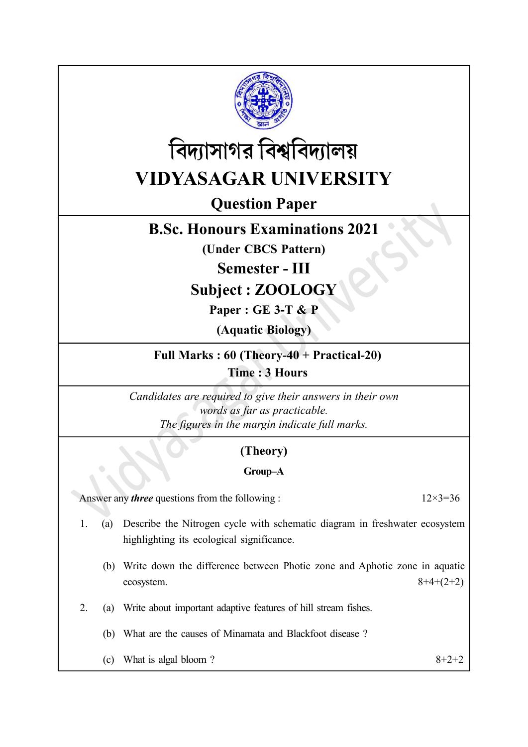



# VIDYASAGAR UNIVERSITY

# Question Paper

## B.Sc. Honours Examinations 2021

(Under CBCS Pattern)

Semester - III

Subject : ZOOLOGY

Paper : GE 3-T & P

(Aquatic Biology)

Full Marks : 60 (Theory-40 + Practical-20)

Time : 3 Hours

Candidates are required to give their answers in their own words as far as practicable. The figures in the margin indicate full marks.

### (Theory)

#### Group–A

Answer any *three* questions from the following :  $12 \times 3 = 36$ 

1. (a) Describe the Nitrogen cycle with schematic diagram in freshwater ecosystem highlighting its ecological significance.

- (b) Write down the difference between Photic zone and Aphotic zone in aquatic ecosystem.  $8+4+(2+2)$
- 2. (a) Write about important adaptive features of hill stream fishes.
	- (b) What are the causes of Minamata and Blackfoot disease ?
	- (c) What is algal bloom ?  $8+2+2$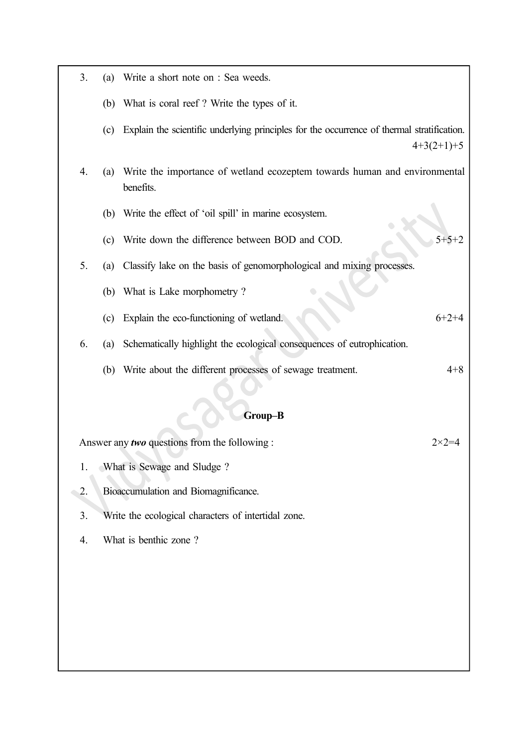| 3. | (a) | Write a short note on : Sea weeds.                                                         |                |
|----|-----|--------------------------------------------------------------------------------------------|----------------|
|    |     | (b) What is coral reef? Write the types of it.                                             |                |
|    | (c) | Explain the scientific underlying principles for the occurrence of thermal stratification. | $4+3(2+1)+5$   |
| 4. | (a) | Write the importance of wetland ecozeptem towards human and environmental<br>benefits.     |                |
|    |     | (b) Write the effect of 'oil spill' in marine ecosystem.                                   |                |
|    | (c) | Write down the difference between BOD and COD.                                             |                |
| 5. | (a) | Classify lake on the basis of genomorphological and mixing processes.                      |                |
|    | (b) | What is Lake morphometry?                                                                  |                |
|    | (c) | Explain the eco-functioning of wetland.                                                    | $6+2+4$        |
| 6. | (a) | Schematically highlight the ecological consequences of eutrophication.                     |                |
|    |     | (b) Write about the different processes of sewage treatment.                               | $4 + 8$        |
|    |     |                                                                                            |                |
|    |     | Group-B                                                                                    |                |
|    |     | Answer any two questions from the following :                                              | $2 \times 2 =$ |
| 1. |     | What is Sewage and Sludge?                                                                 |                |
| 2. |     | Bioaccumulation and Biomagnificance.                                                       |                |
| 3. |     | Write the ecological characters of intertidal zone.                                        |                |
| 4. |     | What is benthic zone?                                                                      |                |
|    |     |                                                                                            |                |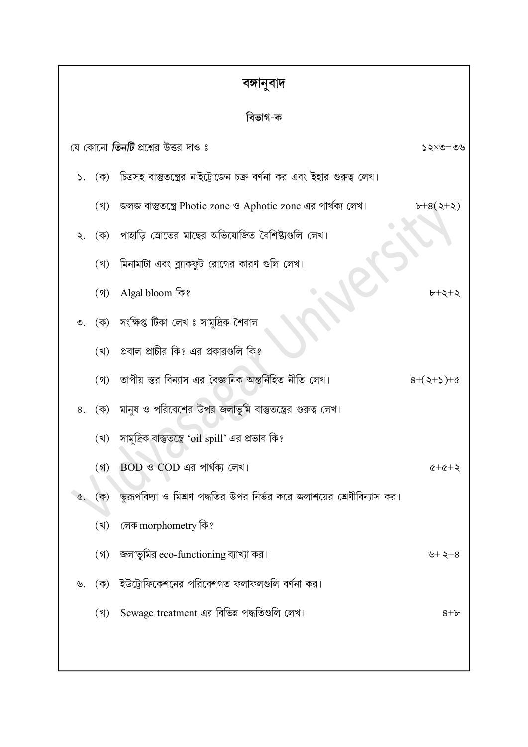| বঙ্গানুবাদ |
|------------|
|------------|

| ভাগ<br>a | □ |
|----------|---|

|                        | যে কোনো <b>তিনটি</b> প্রশ্নের উত্তর দাও ঃ                              | ৩৩=৩×১ <b>&lt;</b> |
|------------------------|------------------------------------------------------------------------|--------------------|
| ১. $(\overline{\Phi})$ | চিত্রসহ বাস্তুতন্ত্রের নাইট্রোজেন চক্র বর্ণনা কর এবং ইহার গুরুত্ব লেখ। |                    |
| (খ)                    | জলজ বাস্তুতন্ত্রে Photic zone ও Aphotic zone এর পার্থক্য লেখ।          | $b+8(2+2)$         |
| ২. (ক)                 | পাহাড়ি স্রোতের মাছের অভিযোজিত বৈশিষ্ট্যগুলি লেখ।                      |                    |
| (খ)                    | মিনামাটা এবং ব্ল্যাকফুট রোগের কারণ গুলি লেখ।                           |                    |
| (3)                    | Algal bloom কি?                                                        | ৮+২+২              |
|                        | ৩. (ক) সংক্ষিপ্ত টিকা লেখ ঃ সামুদ্রিক শৈবাল                            |                    |
| (খ)                    | প্রবাল প্রাচীর কি? এর প্রকারগুলি কি?                                   |                    |
| $($ গ)                 | ্তাপীয় স্তর বিন্যাস এর বৈজ্ঞানিক অন্তর্নিহিত নীতি লেখ।                | $8+(3+2)+8$        |
|                        | ৪. (ক) মানুষ ও পরিবেশের উপর জলাভূমি বাস্তুতন্ত্রের গুরুত্ব লেখ।        |                    |
| (খ)                    | সামুদ্রিক বাস্তুতন্ত্রে 'oil spill' এর প্রভাব কি?                      |                    |
| (3)                    | BOD ও COD এর পার্থক্য লেখ।                                             | $x + 2 + 3$        |
| (ক)<br>Q.              | ভুরূপবিদ্যা ও মিশ্রণ পদ্ধতির উপর নির্ভর করে জলাশয়ের শ্রেণীবিন্যাস কর। |                    |
| (খ)                    | লেক morphometry কি?                                                    |                    |
| $($ গ)                 | জলাভূমির eco-functioning ব্যাখ্যা কর।                                  | ৬+ ২+৪             |
| ৬.                     | (ক) ইউট্রোফিকেশনের পরিবেশগত ফলাফলগুলি বর্ণনা কর।                       |                    |
| (খ)                    | Sewage treatment এর বিভিন্ন পদ্ধতিগুলি লেখ।                            | $8 + b$            |
|                        |                                                                        |                    |
|                        |                                                                        |                    |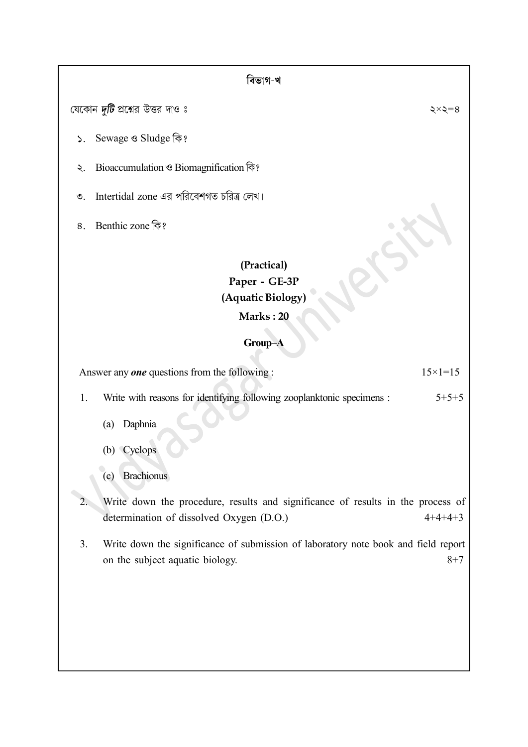#### বিভাগ-খ

যেকোন দুটি প্রশ্নের উত্তর দাও ঃ

- Sewage <sup>9</sup> Sludge कि?  $\mathsf{S}$ .
- Bioaccumulation ও Biomagnification কি? ২.
- Intertidal zone এর পরিবেশগত চরিত্র লেখ।  $\mathcal{O}$ .
- 8. Benthic zone कि?

### (Practical) Paper - GE-3P (Aquatic Biology)

#### Marks : 20

#### Group–A

Answer any **one** questions from the following :  $15 \times 1 = 15$ 

1. Write with reasons for identifying following zooplanktonic specimens : 5+5+5

- (a) Daphnia
- (b) Cyclops
- (c) Brachionus
- 2. Write down the procedure, results and significance of results in the process of determination of dissolved Oxygen (D.O.) 4+4+4+3
- 3. Write down the significance of submission of laboratory note book and field report on the subject aquatic biology. 8+7

 $\xi \times \xi = 8$